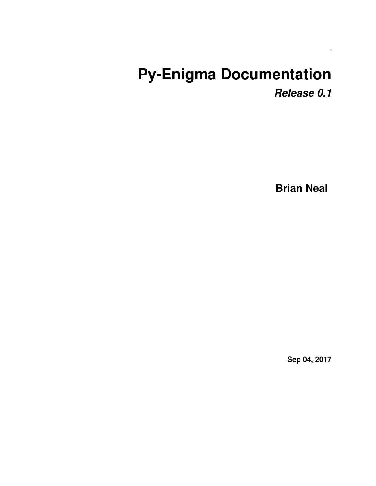# **Py-Enigma Documentation**

*Release 0.1*

**Brian Neal**

**Sep 04, 2017**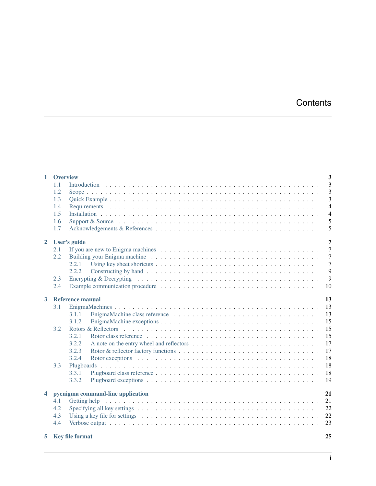# **Contents**

| $\mathbf{1}$            | <b>Overview</b> |                                                                                                                                 | 3              |
|-------------------------|-----------------|---------------------------------------------------------------------------------------------------------------------------------|----------------|
|                         | 1.1             |                                                                                                                                 | 3              |
|                         | 1.2             |                                                                                                                                 | 3              |
|                         | 1.3             |                                                                                                                                 | 3              |
|                         | 1.4             |                                                                                                                                 | $\overline{4}$ |
|                         | 1.5             |                                                                                                                                 | $\overline{4}$ |
|                         | 1.6             |                                                                                                                                 | 5              |
|                         | 1.7             |                                                                                                                                 | 5              |
|                         |                 |                                                                                                                                 |                |
| $\overline{2}$          |                 | User's guide                                                                                                                    | $\overline{7}$ |
|                         | 2.1             |                                                                                                                                 | $\overline{7}$ |
|                         | 2.2             |                                                                                                                                 | $\overline{7}$ |
|                         |                 | 2.2.1                                                                                                                           | $\overline{7}$ |
|                         |                 | 2.2.2                                                                                                                           | 9              |
|                         | 2.3             | Encrypting & Decrypting $\dots \dots \dots \dots \dots \dots \dots \dots \dots \dots \dots \dots \dots \dots \dots \dots$       | 9              |
|                         | 2.4             |                                                                                                                                 | 10             |
| $\overline{3}$          |                 | <b>Reference manual</b>                                                                                                         | 13             |
|                         | 3.1             |                                                                                                                                 | 13             |
|                         |                 | 3.1.1                                                                                                                           | 13             |
|                         |                 | 3.1.2                                                                                                                           | 15             |
|                         | 3.2             |                                                                                                                                 | 15             |
|                         |                 | 3.2.1                                                                                                                           | 15             |
|                         |                 | 3.2.2                                                                                                                           | 17             |
|                         |                 | 3.2.3                                                                                                                           | 17             |
|                         |                 | 3.2.4                                                                                                                           | 18             |
|                         | 3.3             |                                                                                                                                 | 18             |
|                         |                 |                                                                                                                                 |                |
|                         |                 | 3.3.1                                                                                                                           | 18             |
|                         |                 | 3.3.2                                                                                                                           | 19             |
| $\overline{\mathbf{4}}$ |                 | pyenigma command-line application                                                                                               | 21             |
|                         | 4.1             |                                                                                                                                 | 21             |
|                         | 4.2             |                                                                                                                                 | 22             |
|                         | 4.3             | Using a key file for settings $\dots \dots \dots \dots \dots \dots \dots \dots \dots \dots \dots \dots \dots \dots \dots \dots$ | 22             |
|                         | 4.4             |                                                                                                                                 | 23             |
| 5                       |                 | <b>Key file format</b>                                                                                                          | 25             |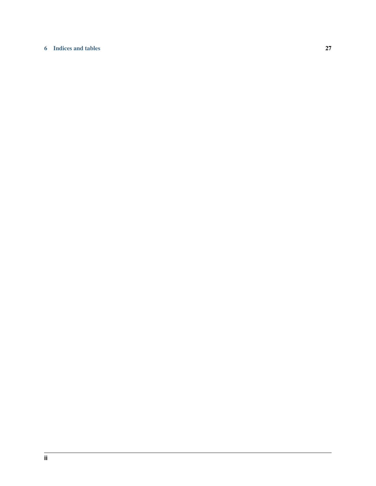#### [6 Indices and tables](#page-30-0) 27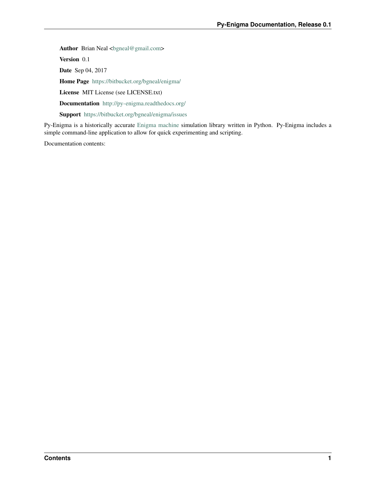Author Brian Neal <br/> <br/>bgneal@gmail.com> Version 0.1 Date Sep 04, 2017 Home Page <https://bitbucket.org/bgneal/enigma/> License MIT License (see LICENSE.txt) Documentation <http://py-enigma.readthedocs.org/> Support <https://bitbucket.org/bgneal/enigma/issues>

Py-Enigma is a historically accurate [Enigma machine](http://en.wikipedia.org/wiki/Enigma_machine) simulation library written in Python. Py-Enigma includes a simple command-line application to allow for quick experimenting and scripting.

Documentation contents: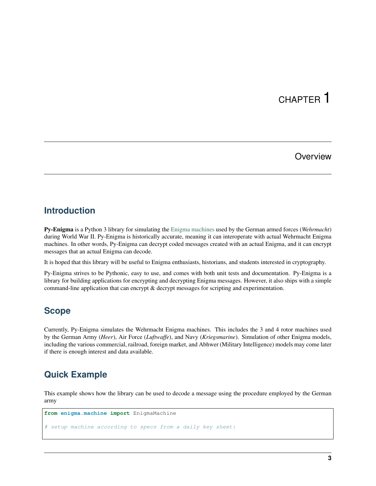### **Overview**

### <span id="page-6-1"></span><span id="page-6-0"></span>**Introduction**

Py-Enigma is a Python 3 library for simulating the [Enigma machines](http://en.wikipedia.org/wiki/Enigma_machine) used by the German armed forces (*Wehrmacht*) during World War II. Py-Enigma is historically accurate, meaning it can interoperate with actual Wehrmacht Enigma machines. In other words, Py-Enigma can decrypt coded messages created with an actual Enigma, and it can encrypt messages that an actual Enigma can decode.

It is hoped that this library will be useful to Enigma enthusiasts, historians, and students interested in cryptography.

Py-Enigma strives to be Pythonic, easy to use, and comes with both unit tests and documentation. Py-Enigma is a library for building applications for encrypting and decrypting Enigma messages. However, it also ships with a simple command-line application that can encrypt & decrypt messages for scripting and experimentation.

### <span id="page-6-2"></span>**Scope**

Currently, Py-Enigma simulates the Wehrmacht Enigma machines. This includes the 3 and 4 rotor machines used by the German Army (*Heer*), Air Force (*Luftwaffe*), and Navy (*Kriegsmarine*). Simulation of other Enigma models, including the various commercial, railroad, foreign market, and Abhwer (Military Intelligence) models may come later if there is enough interest and data available.

# <span id="page-6-3"></span>**Quick Example**

This example shows how the library can be used to decode a message using the procedure employed by the German army

```
from enigma.machine import EnigmaMachine
```

```
# setup machine according to specs from a daily key sheet:
```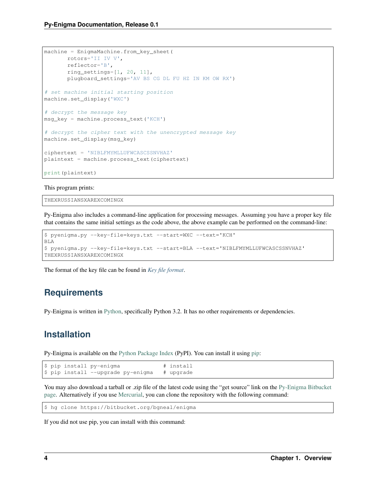```
machine = EnigmaMachine.from_key_sheet(
      rotors='II IV V',
      reflector='B',
      ring_settings=[1, 20, 11],
      plugboard_settings='AV BS CG DL FU HZ IN KM OW RX')
# set machine initial starting position
machine.set_display('WXC')
# decrypt the message key
msg_key = machine.process_text('KCH')
# decrypt the cipher text with the unencrypted message key
machine.set_display(msg_key)
ciphertext = 'NIBLFMYMLLUFWCASCSSNVHAZ'
plaintext = machine.process_text(ciphertext)
print(plaintext)
```
This program prints:

THEXRUSSIANSXAREXCOMINGX

Py-Enigma also includes a command-line application for processing messages. Assuming you have a proper key file that contains the same initial settings as the code above, the above example can be performed on the command-line:

```
$ pyenigma.py --key-file=keys.txt --start=WXC --text='KCH'
BLA
$ pyenigma.py --key-file=keys.txt --start=BLA --text='NIBLFMYMLLUFWCASCSSNVHAZ'
THEXRUSSIANSXAREXCOMINGX
```
The format of the key file can be found in *[Key file format](#page-28-0)*.

## <span id="page-7-0"></span>**Requirements**

Py-Enigma is written in [Python,](http://www.python.org) specifically Python 3.2. It has no other requirements or dependencies.

## <span id="page-7-1"></span>**Installation**

Py-Enigma is available on the [Python Package Index](http://pypi.python.org/pypi/py-enigma/) (PyPI). You can install it using [pip:](http://www.pip-installer.org)

```
$ pip install py-enigma # install
$ pip install --upgrade py-enigma # upgrade
```
You may also download a tarball or .zip file of the latest code using the "get source" link on the [Py-Enigma Bitbucket](https://bitbucket.org/bgneal/enigma) [page.](https://bitbucket.org/bgneal/enigma) Alternatively if you use [Mercurial,](http://mercurial.selenic.com/) you can clone the repository with the following command:

```
$ hg clone https://bitbucket.org/bgneal/enigma
```
If you did not use pip, you can install with this command: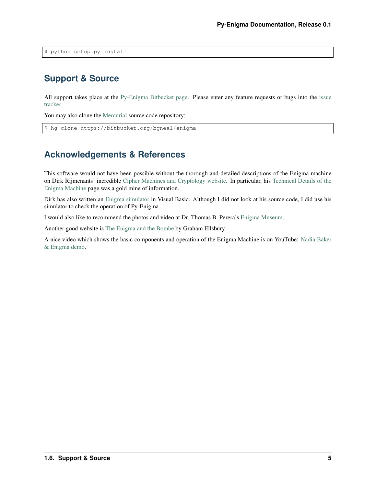\$ python setup.py install

## <span id="page-8-0"></span>**Support & Source**

All support takes place at the [Py-Enigma Bitbucket page.](https://bitbucket.org/bgneal/enigma) Please enter any feature requests or bugs into the [issue](https://bitbucket.org/bgneal/enigma/issues) [tracker.](https://bitbucket.org/bgneal/enigma/issues)

You may also clone the [Mercurial](http://mercurial.selenic.com/) source code repository:

\$ hg clone https://bitbucket.org/bgneal/enigma

## <span id="page-8-1"></span>**Acknowledgements & References**

This software would not have been possible without the thorough and detailed descriptions of the Enigma machine on Dirk Rijmenants' incredible [Cipher Machines and Cryptology website.](http://users.telenet.be/d.rijmenants/index.htm) In particular, his [Technical Details of the](http://users.telenet.be/d.rijmenants/en/enigmatech.htm) [Enigma Machine](http://users.telenet.be/d.rijmenants/en/enigmatech.htm) page was a gold mine of information.

Dirk has also written an [Enigma simulator](http://users.telenet.be/d.rijmenants/en/enigmasim.htm) in Visual Basic. Although I did not look at his source code, I did use his simulator to check the operation of Py-Enigma.

I would also like to recommend the photos and video at Dr. Thomas B. Perera's [Enigma Museum.](http://w1tp.com/enigma/)

Another good website is [The Enigma and the Bombe](http://www.ellsbury.com/enigmabombe.htm) by Graham Ellsbury.

A nice video which shows the basic components and operation of the Enigma Machine is on YouTube: [Nadia Baker](http://youtu.be/HBHYAzuVeWc) [& Enigma demo.](http://youtu.be/HBHYAzuVeWc)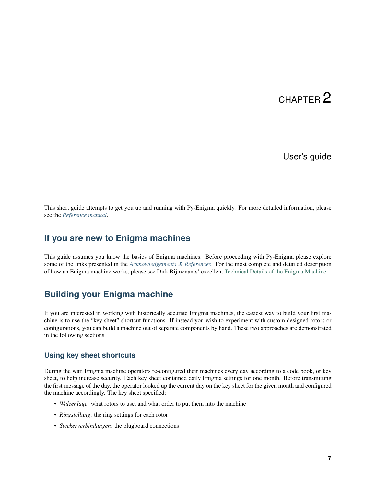### User's guide

<span id="page-10-0"></span>This short guide attempts to get you up and running with Py-Enigma quickly. For more detailed information, please see the *[Reference manual](#page-16-0)*.

### <span id="page-10-1"></span>**If you are new to Enigma machines**

This guide assumes you know the basics of Enigma machines. Before proceeding with Py-Enigma please explore some of the links presented in the *[Acknowledgements & References](#page-8-1)*. For the most complete and detailed description of how an Enigma machine works, please see Dirk Rijmenants' excellent [Technical Details of the Enigma Machine.](http://users.telenet.be/d.rijmenants/en/enigmatech.htm)

## <span id="page-10-2"></span>**Building your Enigma machine**

If you are interested in working with historically accurate Enigma machines, the easiest way to build your first machine is to use the "key sheet" shortcut functions. If instead you wish to experiment with custom designed rotors or configurations, you can build a machine out of separate components by hand. These two approaches are demonstrated in the following sections.

### <span id="page-10-3"></span>**Using key sheet shortcuts**

During the war, Enigma machine operators re-configured their machines every day according to a code book, or key sheet, to help increase security. Each key sheet contained daily Enigma settings for one month. Before transmitting the first message of the day, the operator looked up the current day on the key sheet for the given month and configured the machine accordingly. The key sheet specified:

- *Walzenlage*: what rotors to use, and what order to put them into the machine
- *Ringstellung*: the ring settings for each rotor
- *Steckerverbindungen*: the plugboard connections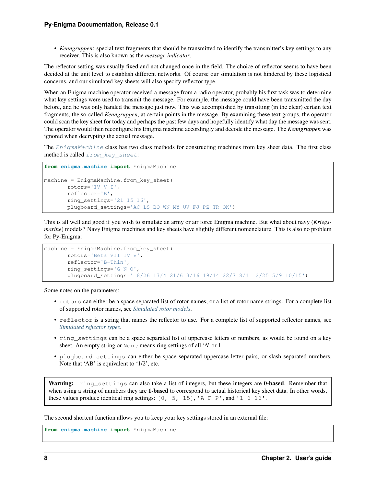• *Kenngruppen*: special text fragments that should be transmitted to identify the transmitter's key settings to any receiver. This is also known as the *message indicator*.

The reflector setting was usually fixed and not changed once in the field. The choice of reflector seems to have been decided at the unit level to establish different networks. Of course our simulation is not hindered by these logistical concerns, and our simulated key sheets will also specify reflector type.

When an Enigma machine operator received a message from a radio operator, probably his first task was to determine what key settings were used to transmit the message. For example, the message could have been transmitted the day before, and he was only handed the message just now. This was accomplished by transitting (in the clear) certain text fragments, the so-called *Kenngruppen*, at certain points in the message. By examining these text groups, the operator could scan the key sheet for today and perhaps the past few days and hopefully identify what day the message was sent. The operator would then reconfigure his Enigma machine accordingly and decode the message. The *Kenngruppen* was ignored when decrypting the actual message.

The [EnigmaMachine](#page-16-3) class has two class methods for constructing machines from key sheet data. The first class method is called [from\\_key\\_sheet](#page-16-4):

```
from enigma.machine import EnigmaMachine
machine = EnigmaMachine.from_key_sheet(
      rotors='IV V I',
      reflector='B',
      ring_settings='21 15 16',
       plugboard_settings='AC LS BQ WN MY UV FJ PZ TR OK')
```
This is all well and good if you wish to simulate an army or air force Enigma machine. But what about navy (*Kriegsmarine*) models? Navy Enigma machines and key sheets have slightly different nomenclature. This is also no problem for Py-Enigma:

```
machine = EnigmaMachine.from_key_sheet(
      rotors='Beta VII IV V',
       reflector='B-Thin',
       ring_settings='G N O',
       plugboard_settings='18/26 17/4 21/6 3/16 19/14 22/7 8/1 12/25 5/9 10/15')
```
Some notes on the parameters:

- rotors can either be a space separated list of rotor names, or a list of rotor name strings. For a complete list of supported rotor names, see *[Simulated rotor models](#page-20-2)*.
- reflector is a string that names the reflector to use. For a complete list of supported reflector names, see *[Simulated reflector types](#page-20-3)*.
- ring settings can be a space separated list of uppercase letters or numbers, as would be found on a key sheet. An empty string or None means ring settings of all 'A' or 1.
- plugboard\_settings can either be space separated uppercase letter pairs, or slash separated numbers. Note that 'AB' is equivalent to '1/2', etc.

Warning: ring\_settings can also take a list of integers, but these integers are **0-based**. Remember that when using a string of numbers they are 1-based to correspond to actual historical key sheet data. In other words, these values produce identical ring settings:  $[0, 5, 15]$ , 'A F P', and '1 6 16'.

The second shortcut function allows you to keep your key settings stored in an external file:

**from enigma.machine import** EnigmaMachine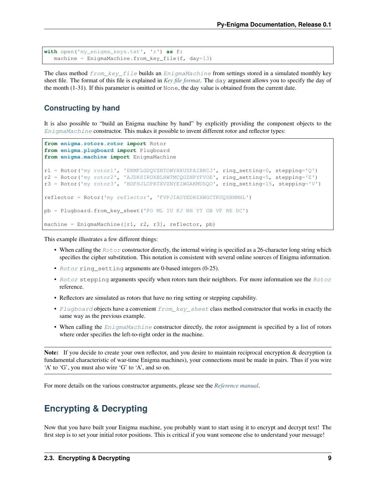```
with open('my_enigma_keys.txt', 'r') as f:
  machine = EnigmaMachine.from_key_file(f, day=13)
```
The class method  $from \text{key\_file}$  builds an  $EnigmaMain$  from settings stored in a simulated monthly key sheet file. The format of this file is explained in *[Key file format](#page-28-0)*. The day argument allows you to specify the day of the month (1-31). If this parameter is omitted or None, the day value is obtained from the current date.

### <span id="page-12-0"></span>**Constructing by hand**

It is also possible to "build an Enigma machine by hand" by explicitly providing the component objects to the [EnigmaMachine](#page-16-3) constructor. This makes it possible to invent different rotor and reflector types:

```
from enigma.rotors.rotor import Rotor
from enigma.plugboard import Plugboard
from enigma.machine import EnigmaMachine
r1 = Rotor('my rotor1', 'EKMFLGDQVZNTOWYHXUSPAIBRCJ', ring_setting=0, stepping='Q')
r2 = Rotor('my rotor2', 'AJDKSIRUXBLHWTMCQGZNPYFVOE', ring_setting=5, stepping='E')
r3 = Rotor('my rotor3', 'BDFHJLCPRTXVZNYEIWGAKMUSQO', ring_setting=15, stepping='V')
reflector = Rotor('my reflector', 'FVPJIAOYEDRZXWGCTKUQSBNMHL')
pb = Plugboard.from_key_sheet('PO ML IU KJ NH YT GB VF RE DC')
machine = EnigmaMachine([r1, r2, r3], reflector, pb)
```
This example illustrates a few different things:

- When calling the  $Rootor$  constructor directly, the internal wiring is specified as a 26-character long string which specifies the cipher substitution. This notation is consistent with several online sources of Enigma information.
- [Rotor](#page-18-3) ring\_setting arguments are 0-based integers (0-25).
- [Rotor](#page-18-3) stepping arguments specify when rotors turn their neighbors. For more information see the  $Rotor$ reference.
- Reflectors are simulated as rotors that have no ring setting or stepping capability.
- [Plugboard](#page-21-3) objects have a convenient  $from\_key\_sheet$  class method constructor that works in exactly the same way as the previous example.
- When calling the  $EnigmaAachine$  constructor directly, the rotor assignment is specified by a list of rotors where order specifies the left-to-right order in the machine.

Note: If you decide to create your own reflector, and you desire to maintain reciprocal encryption & decryption (a fundamental characteristic of war-time Enigma machines), your connections must be made in pairs. Thus if you wire 'A' to 'G', you must also wire 'G' to 'A', and so on.

For more details on the various constructor arguments, please see the *[Reference manual](#page-16-0)*.

### <span id="page-12-1"></span>**Encrypting & Decrypting**

Now that you have built your Enigma machine, you probably want to start using it to encrypt and decrypt text! The first step is to set your initial rotor positions. This is critical if you want someone else to understand your message!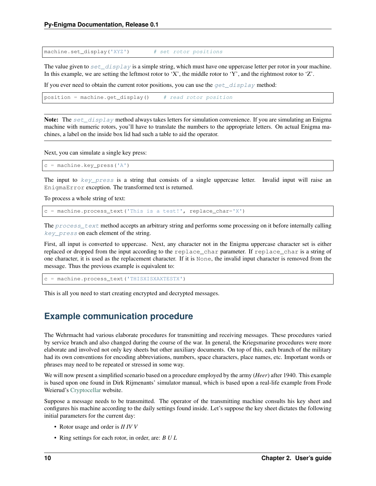machine.set\_display('XYZ') # set rotor positions

The value given to  $set\_display$  is a simple string, which must have one uppercase letter per rotor in your machine. In this example, we are setting the leftmost rotor to 'X', the middle rotor to 'Y', and the rightmost rotor to 'Z'.

If you ever need to obtain the current rotor positions, you can use the  $qet\_display$  phase method:

```
position = machine.get_display() # read rotor position
```
Note: The set  $display$  method always takes letters for simulation convenience. If you are simulating an Enigma machine with numeric rotors, you'll have to translate the numbers to the appropriate letters. On actual Enigma machines, a label on the inside box lid had such a table to aid the operator.

Next, you can simulate a single key press:

```
c = machine.key_press('A')
```
The input to  $key\_press$  is a string that consists of a single uppercase letter. Invalid input will raise an EnigmaError exception. The transformed text is returned.

To process a whole string of text:

c = machine.process\_text('This is a test!', replace\_char='X')

The [process\\_text](#page-18-4) method accepts an arbitrary string and performs some processing on it before internally calling [key\\_press](#page-17-3) on each element of the string.

First, all input is converted to uppercase. Next, any character not in the Enigma uppercase character set is either replaced or dropped from the input according to the replace\_char parameter. If replace\_char is a string of one character, it is used as the replacement character. If it is None, the invalid input character is removed from the message. Thus the previous example is equivalent to:

c = machine.process\_text('THISXISXAXTESTX')

This is all you need to start creating encrypted and decrypted messages.

### <span id="page-13-0"></span>**Example communication procedure**

The Wehrmacht had various elaborate procedures for transmitting and receiving messages. These procedures varied by service branch and also changed during the course of the war. In general, the Kriegsmarine procedures were more elaborate and involved not only key sheets but other auxiliary documents. On top of this, each branch of the military had its own conventions for encoding abbreviations, numbers, space characters, place names, etc. Important words or phrases may need to be repeated or stressed in some way.

We will now present a simplified scenario based on a procedure employed by the army (*Heer*) after 1940. This example is based upon one found in Dirk Rijmenants' simulator manual, which is based upon a real-life example from Frode Weierud's [Cryptocellar](http://cryptocellar.org) website.

Suppose a message needs to be transmitted. The operator of the transmitting machine consults his key sheet and configures his machine according to the daily settings found inside. Let's suppose the key sheet dictates the following initial parameters for the current day:

- Rotor usage and order is *II IV V*
- Ring settings for each rotor, in order, are: *B U L*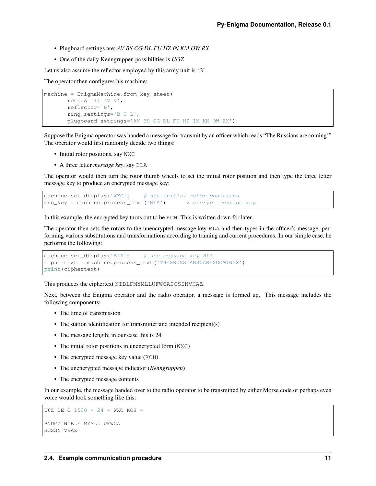- Plugboard settings are: *AV BS CG DL FU HZ IN KM OW RX*
- One of the daily Kenngruppen possibilities is *UGZ*

Let us also assume the reflector employed by this army unit is 'B'.

The operator then configures his machine:

```
machine = EnigmaMachine.from_key_sheet(
      rotors='II IV V',
      reflector='B',
      ring_settings='B U L',
       plugboard_settings='AV BS CG DL FU HZ IN KM OW RX')
```
Suppose the Enigma operator was handed a message for transmit by an officer which reads "The Russians are coming!" The operator would first randomly decide two things:

- Initial rotor positions, say WXC
- A three letter *message key*, say BLA

The operator would then turn the rotor thumb wheels to set the initial rotor position and then type the three letter message key to produce an encrypted message key:

```
machine.set_display('WXC') # set initial rotor positions
enc_key = machine.process_text('BLA') # encrypt message key
```
In this example, the encrypted key turns out to be KCH. This is written down for later.

The operator then sets the rotors to the unencrypted message key BLA and then types in the officer's message, performing various substitutions and transformations according to training and current procedures. In our simple case, he performs the following:

```
machine.set_display('BLA') # use message key BLA
ciphertext = machine.process_text('THEXRUSSIANSXAREXCOMINGX')
print(ciphertext)
```
This produces the ciphertext NIBLFMYMLLUFWCASCSSNVHAZ.

Next, between the Enigma operator and the radio operator, a message is formed up. This message includes the following components:

- The time of transmission
- The station identification for transmitter and intended recipient(s)
- The message length; in our case this is 24
- The initial rotor positions in unencrypted form (WXC)
- The encrypted message key value (KCH)
- The unencrypted message indicator (*Kenngruppen*)
- The encrypted message contents

In our example, the message handed over to the radio operator to be transmitted by either Morse code or perhaps even voice would look something like this:

```
U6Z DE C 1500 = 24 = WXC KCH =
BNUGZ NIBLF MYMLL UFWCA
SCSSN VHAZ=
```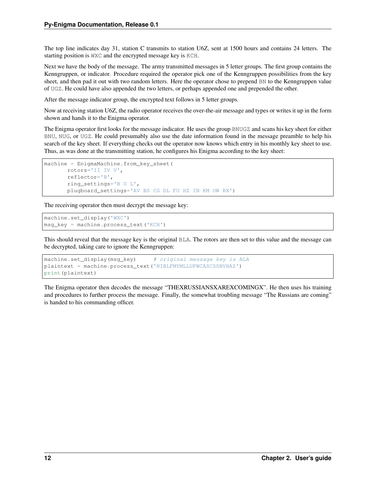The top line indicates day 31, station C transmits to station U6Z, sent at 1500 hours and contains 24 letters. The starting position is WXC and the encrypted message key is KCH.

Next we have the body of the message. The army transmitted messages in 5 letter groups. The first group contains the Kenngruppen, or indicator. Procedure required the operator pick one of the Kenngruppen possibilities from the key sheet, and then pad it out with two random letters. Here the operator chose to prepend BN to the Kenngruppen value of UGZ. He could have also appended the two letters, or perhaps appended one and prepended the other.

After the message indicator group, the encrypted text follows in 5 letter groups.

Now at receiving station U6Z, the radio operator receives the over-the-air message and types or writes it up in the form shown and hands it to the Enigma operator.

The Enigma operator first looks for the message indicator. He uses the group BNUGZ and scans his key sheet for either BNU, NUG, or UGZ. He could presumably also use the date information found in the message preamble to help his search of the key sheet. If everything checks out the operator now knows which entry in his monthly key sheet to use. Thus, as was done at the transmitting station, he configures his Enigma according to the key sheet:

```
machine = EnigmaMachine.from_key_sheet(
      rotors='II IV V',
      reflector='B',
      ring_settings='B U L',
       plugboard_settings='AV BS CG DL FU HZ IN KM OW RX')
```
The receiving operator then must decrypt the message key:

```
machine.set_display('WXC')
msg_key = machine.process_text('KCH')
```
This should reveal that the message key is the original BLA. The rotors are then set to this value and the message can be decrypted, taking care to ignore the Kenngruppen:

```
machine.set_display(msg_key) # original message key is BLA
plaintext = machine.process_text('NIBLFMYMLLUFWCASCSSNVHAZ')
print(plaintext)
```
The Enigma operator then decodes the message "THEXRUSSIANSXAREXCOMINGX". He then uses his training and procedures to further process the message. Finally, the somewhat troubling message "The Russians are coming" is handed to his commanding officer.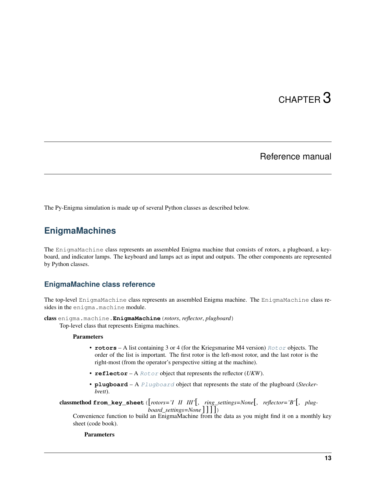### Reference manual

<span id="page-16-5"></span><span id="page-16-0"></span>The Py-Enigma simulation is made up of several Python classes as described below.

## <span id="page-16-1"></span>**EnigmaMachines**

The EnigmaMachine class represents an assembled Enigma machine that consists of rotors, a plugboard, a keyboard, and indicator lamps. The keyboard and lamps act as input and outputs. The other components are represented by Python classes.

### <span id="page-16-2"></span>**EnigmaMachine class reference**

The top-level EnigmaMachine class represents an assembled Enigma machine. The EnigmaMachine class resides in the enigma.machine module.

<span id="page-16-3"></span>class enigma.machine.**EnigmaMachine**(*rotors*, *reflector*, *plugboard*)

Top-level class that represents Enigma machines.

#### **Parameters**

- **rotors** A list containing 3 or 4 (for the Kriegsmarine M4 version) [Rotor](#page-18-3) objects. The order of the list is important. The first rotor is the left-most rotor, and the last rotor is the right-most (from the operator's perspective sitting at the machine).
- **reflector** A [Rotor](#page-18-3) object that represents the reflector (*UKW*).
- **plugboard** A [Plugboard](#page-21-3) object that represents the state of the plugboard (*Steckerbrett*).

<span id="page-16-4"></span>classmethod **from\_key\_sheet**([*rotors='I II III'*[, *ring\_settings=None*[, *reflector='B'*[, *plugboard* settings=None  $\vert \vert \vert \vert$ )

Convenience function to build an EnigmaMachine from the data as you might find it on a monthly key sheet (code book).

Parameters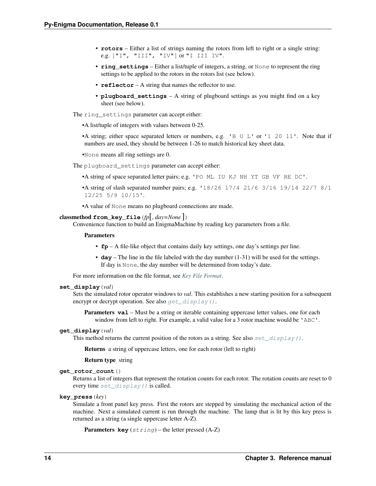- <span id="page-17-4"></span>• **rotors** – Either a list of strings naming the rotors from left to right or a single string: e.g. ["I", "III", "IV"] or "I III IV".
- **ring\_settings** Either a list/tuple of integers, a string, or None to represent the ring settings to be applied to the rotors in the rotors list (see below).
- **reflector** A string that names the reflector to use.
- **plugboard\_settings** A string of plugboard settings as you might find on a key sheet (see below).

The ring\_settings parameter can accept either:

•A list/tuple of integers with values between 0-25.

•A string; either space separated letters or numbers, e.g. 'B U L' or '1 20 11'. Note that if numbers are used, they should be between 1-26 to match historical key sheet data.

•None means all ring settings are 0.

The plugboard\_settings parameter can accept either:

•A string of space separated letter pairs; e.g. 'PO ML IU KJ NH YT GB VF RE DC'.

•A string of slash separated number pairs; e.g.  $18/26$  17/4 21/6 3/16 19/14 22/7 8/1 12/25 5/9 10/15'.

•A value of None means no plugboard connections are made.

#### <span id="page-17-0"></span>classmethod **from\_key\_file**(*fp*[, *day=None* ])

Convenience function to build an EnigmaMachine by reading key parameters from a file.

#### Parameters

- **fp** A file-like object that contains daily key settings, one day's settings per line.
- **day** The line in the file labeled with the day number (1-31) will be used for the settings. If day is None, the day number will be determined from today's date.

For more information on the file format, see *[Key File Format](#page-28-0)*.

#### <span id="page-17-1"></span>**set\_display**(*val*)

Sets the simulated rotor operator windows to *val*. This establishes a new starting position for a subsequent encrypt or decrypt operation. See also  $get\_display()$ .

**Parameters val** – Must be a string or iterable containing uppercase letter values, one for each window from left to right. For example, a valid value for a 3 rotor machine would be 'ABC'.

#### <span id="page-17-2"></span>**get\_display**(*val*)

This method returns the current position of the rotors as a string. See also set  $display()$ .

Returns a string of uppercase letters, one for each rotor (left to right)

Return type string

#### **get\_rotor\_count**()

Returns a list of integers that represent the rotation counts for each rotor. The rotation counts are reset to 0 every time  $set\_display$  () is called.

#### <span id="page-17-3"></span>**key\_press**(*key*)

Simulate a front panel key press. First the rotors are stepped by simulating the mechanical action of the machine. Next a simulated current is run through the machine. The lamp that is lit by this key press is returned as a string (a single uppercase letter A-Z).

```
Parameters key (string) – the letter pressed (A-Z)
```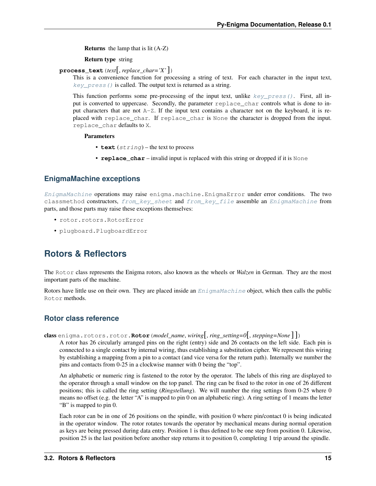<span id="page-18-5"></span>Returns the lamp that is lit (A-Z)

Return type string

<span id="page-18-4"></span>**process\_text**(*text*[, *replace\_char='X'*])

This is a convenience function for processing a string of text. For each character in the input text,  $key\ \text{press}$  () is called. The output text is returned as a string.

This function performs some pre-processing of the input text, unlike  $key\_press()$ . First, all input is converted to uppercase. Secondly, the parameter replace\_char controls what is done to input characters that are not A-Z. If the input text contains a character not on the keyboard, it is replaced with replace\_char. If replace\_char is None the character is dropped from the input. replace\_char defaults to X.

Parameters

- **text**  $(string)$  the text to process
- **replace\_char** invalid input is replaced with this string or dropped if it is None

### <span id="page-18-0"></span>**EnigmaMachine exceptions**

[EnigmaMachine](#page-16-3) operations may raise enigma.machine.EnigmaError under error conditions. The two classmethod constructors, [from\\_key\\_sheet](#page-16-4) and [from\\_key\\_file](#page-17-0) assemble an [EnigmaMachine](#page-16-3) from parts, and those parts may raise these exceptions themselves:

- rotor.rotors.RotorError
- plugboard.PlugboardError

## <span id="page-18-1"></span>**Rotors & Reflectors**

The Rotor class represents the Enigma rotors, also known as the wheels or *Walzen* in German. They are the most important parts of the machine.

Rotors have little use on their own. They are placed inside an [EnigmaMachine](#page-16-3) object, which then calls the public Rotor methods.

### <span id="page-18-2"></span>**Rotor class reference**

<span id="page-18-3"></span>class enigma.rotors.rotor.**Rotor**(*model\_name*, *wiring*[, *ring\_setting=0*[, *stepping=None* ] ])

A rotor has 26 circularly arranged pins on the right (entry) side and 26 contacts on the left side. Each pin is connected to a single contact by internal wiring, thus establishing a substitution cipher. We represent this wiring by establishing a mapping from a pin to a contact (and vice versa for the return path). Internally we number the pins and contacts from 0-25 in a clockwise manner with 0 being the "top".

An alphabetic or numeric ring is fastened to the rotor by the operator. The labels of this ring are displayed to the operator through a small window on the top panel. The ring can be fixed to the rotor in one of 26 different positions; this is called the ring setting (*Ringstellung*). We will number the ring settings from 0-25 where 0 means no offset (e.g. the letter "A" is mapped to pin 0 on an alphabetic ring). A ring setting of 1 means the letter "B" is mapped to pin 0.

Each rotor can be in one of 26 positions on the spindle, with position 0 where pin/contact 0 is being indicated in the operator window. The rotor rotates towards the operator by mechanical means during normal operation as keys are being pressed during data entry. Position 1 is thus defined to be one step from position 0. Likewise, position 25 is the last position before another step returns it to position 0, completing 1 trip around the spindle.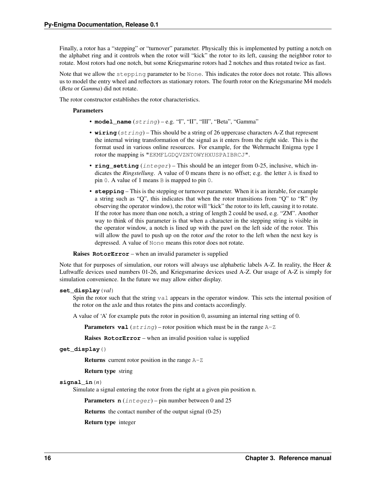<span id="page-19-1"></span>Finally, a rotor has a "stepping" or "turnover" parameter. Physically this is implemented by putting a notch on the alphabet ring and it controls when the rotor will "kick" the rotor to its left, causing the neighbor rotor to rotate. Most rotors had one notch, but some Kriegsmarine rotors had 2 notches and thus rotated twice as fast.

Note that we allow the stepping parameter to be None. This indicates the rotor does not rotate. This allows us to model the entry wheel and reflectors as stationary rotors. The fourth rotor on the Kriegsmarine M4 models (*Beta* or *Gamma*) did not rotate.

The rotor constructor establishes the rotor characteristics.

#### **Parameters**

- **model\_name** (string) e.g. "I", "II", "III", "Beta", "Gamma"
- **wiring** (string) This should be a string of 26 uppercase characters A-Z that represent the internal wiring transformation of the signal as it enters from the right side. This is the format used in various online resources. For example, for the Wehrmacht Enigma type I rotor the mapping is "EKMFLGDQVZNTOWYHXUSPAIBRCJ".
- **ring\_setting** (integer) This should be an integer from 0-25, inclusive, which indicates the *Ringstellung*. A value of 0 means there is no offset; e.g. the letter A is fixed to pin 0. A value of 1 means B is mapped to pin 0.
- **stepping** This is the stepping or turnover parameter. When it is an iterable, for example a string such as "Q", this indicates that when the rotor transitions from "Q" to "R" (by observing the operator window), the rotor will "kick" the rotor to its left, causing it to rotate. If the rotor has more than one notch, a string of length 2 could be used, e.g. "ZM". Another way to think of this parameter is that when a character in the stepping string is visible in the operator window, a notch is lined up with the pawl on the left side of the rotor. This will allow the pawl to push up on the rotor *and* the rotor to the left when the next key is depressed. A value of None means this rotor does not rotate.

Raises **RotorError** – when an invalid parameter is supplied

Note that for purposes of simulation, our rotors will always use alphabetic labels A-Z. In reality, the Heer & Luftwaffe devices used numbers 01-26, and Kriegsmarine devices used A-Z. Our usage of A-Z is simply for simulation convenience. In the future we may allow either display.

#### <span id="page-19-0"></span>**set\_display**(*val*)

Spin the rotor such that the string valuappears in the operator window. This sets the internal position of the rotor on the axle and thus rotates the pins and contacts accordingly.

A value of 'A' for example puts the rotor in position 0, assuming an internal ring setting of 0.

**Parameters val**  $(string)$  – rotor position which must be in the range  $A-Z$ 

Raises **RotorError** – when an invalid position value is supplied

#### **get\_display**()

**Returns** current rotor position in the range  $A-Z$ 

Return type string

#### **signal\_in**(*n*)

Simulate a signal entering the rotor from the right at a given pin position n.

**Parameters**  $n$  (integer) – pin number between 0 and 25

Returns the contact number of the output signal (0-25)

Return type integer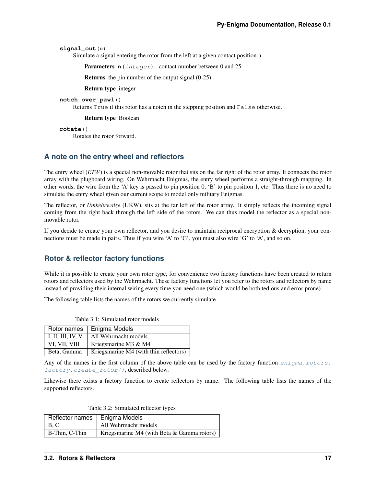<span id="page-20-4"></span>**signal\_out**(*n*)

Simulate a signal entering the rotor from the left at a given contact position n.

Parameters **n** (integer) – contact number between 0 and 25

Returns the pin number of the output signal (0-25)

Return type integer

**notch\_over\_pawl**()

Returns True if this rotor has a notch in the stepping position and False otherwise.

Return type Boolean

**rotate**()

Rotates the rotor forward.

### <span id="page-20-0"></span>**A note on the entry wheel and reflectors**

The entry wheel (*ETW*) is a special non-movable rotor that sits on the far right of the rotor array. It connects the rotor array with the plugboard wiring. On Wehrmacht Enigmas, the entry wheel performs a straight-through mapping. In other words, the wire from the 'A' key is passed to pin position 0, 'B' to pin position 1, etc. Thus there is no need to simulate the entry wheel given our current scope to model only military Enigmas.

The reflector, or *Umkehrwalze* (UKW), sits at the far left of the rotor array. It simply reflects the incoming signal coming from the right back through the left side of the rotors. We can thus model the reflector as a special nonmovable rotor.

If you decide to create your own reflector, and you desire to maintain reciprocal encryption & decryption, your connections must be made in pairs. Thus if you wire 'A' to 'G', you must also wire 'G' to 'A', and so on.

### <span id="page-20-1"></span>**Rotor & reflector factory functions**

While it is possible to create your own rotor type, for convenience two factory functions have been created to return rotors and reflectors used by the Wehrmacht. These factory functions let you refer to the rotors and reflectors by name instead of providing their internal wiring every time you need one (which would be both tedious and error prone).

<span id="page-20-2"></span>The following table lists the names of the rotors we currently simulate.

| Rotor names       | Enigma Models                          |
|-------------------|----------------------------------------|
| I, II, III, IV, V | All Wehrmacht models                   |
| VI, VII, VIII     | Kriegsmarine M3 & M4                   |
| Beta, Gamma       | Kriegsmarine M4 (with thin reflectors) |

Table 3.1: Simulated rotor models

Any of the names in the first column of the above table can be used by the factory function [enigma.rotors.](#page-21-5) [factory.create\\_rotor\(\)](#page-21-5), described below.

Likewise there exists a factory function to create reflectors by name. The following table lists the names of the supported reflectors.

Table 3.2: Simulated reflector types

<span id="page-20-3"></span>

| Reflector names   Enigma Models |                                               |
|---------------------------------|-----------------------------------------------|
| $\vert B, C \vert$              | All Wehrmacht models                          |
| B-Thin, C-Thin                  | Kriegsmarine M4 (with Beta $\&$ Gamma rotors) |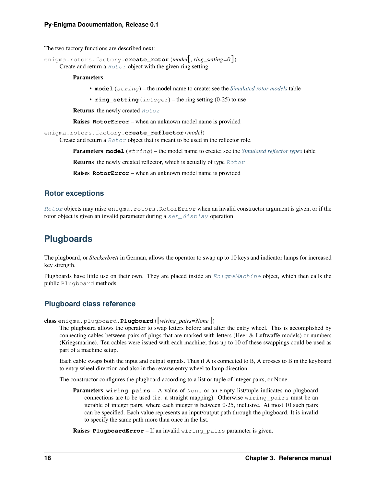<span id="page-21-6"></span>The two factory functions are described next:

<span id="page-21-5"></span>enigma.rotors.factory.**create\_rotor**(*model*[, *ring\_setting=0* ])

Create and return a [Rotor](#page-18-3) object with the given ring setting.

#### **Parameters**

- **model** (string) the model name to create; see the *[Simulated rotor models](#page-20-2)* table
- **ring\_setting** (integer) the ring setting (0-25) to use

Returns the newly created [Rotor](#page-18-3)

Raises **RotorError** – when an unknown model name is provided

```
enigma.rotors.factory.create_reflector(model)
```
Create and return a  $Rotor$  object that is meant to be used in the reflector role.

Parameters **model** (string) – the model name to create; see the *[Simulated reflector types](#page-20-3)* table

**Returns** the newly created reflector, which is actually of type  $Rotor$ 

Raises **RotorError** – when an unknown model name is provided

### <span id="page-21-0"></span>**Rotor exceptions**

[Rotor](#page-18-3) objects may raise enigma.rotors.RotorError when an invalid constructor argument is given, or if the rotor object is given an invalid parameter during a  $set\_display$  play operation.

# <span id="page-21-1"></span>**Plugboards**

The plugboard, or *Steckerbrett* in German, allows the operator to swap up to 10 keys and indicator lamps for increased key strength.

Plugboards have little use on their own. They are placed inside an  $EnigmaMachine$  object, which then calls the public Plugboard methods.

### <span id="page-21-2"></span>**Plugboard class reference**

<span id="page-21-3"></span>class enigma.plugboard.**Plugboard**([*wiring\_pairs=None* ])

The plugboard allows the operator to swap letters before and after the entry wheel. This is accomplished by connecting cables between pairs of plugs that are marked with letters (Heer & Luftwaffe models) or numbers (Kriegsmarine). Ten cables were issued with each machine; thus up to 10 of these swappings could be used as part of a machine setup.

Each cable swaps both the input and output signals. Thus if A is connected to B, A crosses to B in the keyboard to entry wheel direction and also in the reverse entry wheel to lamp direction.

The constructor configures the plugboard according to a list or tuple of integer pairs, or None.

Parameters **wiring\_pairs** – A value of None or an empty list/tuple indicates no plugboard connections are to be used (i.e. a straight mapping). Otherwise wiring\_pairs must be an iterable of integer pairs, where each integer is between 0-25, inclusive. At most 10 such pairs can be specified. Each value represents an input/output path through the plugboard. It is invalid to specify the same path more than once in the list.

<span id="page-21-4"></span>Raises **PlugboardError** – If an invalid wiring\_pairs parameter is given.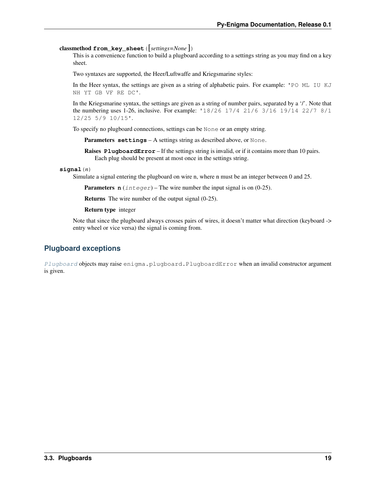<span id="page-22-1"></span>classmethod **from\_key\_sheet**([*settings=None* ])

This is a convenience function to build a plugboard according to a settings string as you may find on a key sheet.

Two syntaxes are supported, the Heer/Luftwaffe and Kriegsmarine styles:

In the Heer syntax, the settings are given as a string of alphabetic pairs. For example: 'PO ML IU KJ NH YT GB VF RE DC'.

In the Kriegsmarine syntax, the settings are given as a string of number pairs, separated by a '/'. Note that the numbering uses 1-26, inclusive. For example: '18/26 17/4 21/6 3/16 19/14 22/7 8/1 12/25 5/9 10/15'.

To specify no plugboard connections, settings can be None or an empty string.

**Parameters settings** – A settings string as described above, or None.

Raises **PlugboardError** – If the settings string is invalid, or if it contains more than 10 pairs. Each plug should be present at most once in the settings string.

**signal**(*n*)

Simulate a signal entering the plugboard on wire n, where n must be an integer between 0 and 25.

**Parameters**  $n$  (integer) – The wire number the input signal is on (0-25).

Returns The wire number of the output signal (0-25).

Return type integer

Note that since the plugboard always crosses pairs of wires, it doesn't matter what direction (keyboard -> entry wheel or vice versa) the signal is coming from.

### <span id="page-22-0"></span>**Plugboard exceptions**

[Plugboard](#page-21-3) objects may raise enigma.plugboard.PlugboardError when an invalid constructor argument is given.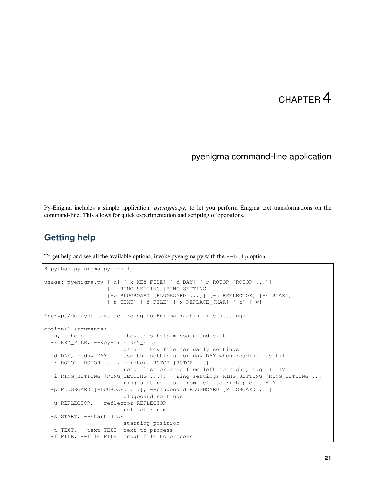### pyenigma command-line application

<span id="page-24-0"></span>Py-Enigma includes a simple application, *pyenigma.py*, to let you perform Enigma text transformations on the command-line. This allows for quick experimentation and scripting of operations.

### <span id="page-24-1"></span>**Getting help**

To get help and see all the available options, invoke pyenigma.py with the  $-\text{help}$  option:

```
$ python pyenigma.py --help
usage: pyenigma.py [-h] [-k KEY FILE] [-d DAY] [-r ROTOR [ROTOR ...]]
                   [-i RING_SETTING [RING_SETTING ...]]
                   [-p PLUGBOARD [PLUGBOARD ...]] [-u REFLECTOR] [-s START]
                  [-t TEXT] [-f FILE] [-x REPLACE_CHAR] [-z] [-v]
Encrypt/decrypt text according to Enigma machine key settings
optional arguments:
 -h, --help show this help message and exit
 -k KEY_FILE, --key-file KEY_FILE
                       path to key file for daily settings
 -d DAY, --day DAY use the settings for day DAY when reading key file
 -r ROTOR [ROTOR ...], --rotors ROTOR [ROTOR ...]
                       rotor list ordered from left to right; e.g III IV I
 -i RING_SETTING [RING_SETTING ...], --ring-settings RING_SETTING [RING_SETTING ...]
                       ring setting list from left to right; e.g. A A J
 -p PLUGBOARD [PLUGBOARD ...], --plugboard PLUGBOARD [PLUGBOARD ...]
                       plugboard settings
 -u REFLECTOR, --reflector REFLECTOR
                       reflector name
 -s START, --start START
                       starting position
 -t TEXT, --text TEXT text to process
 -f FILE, --file FILE input file to process
```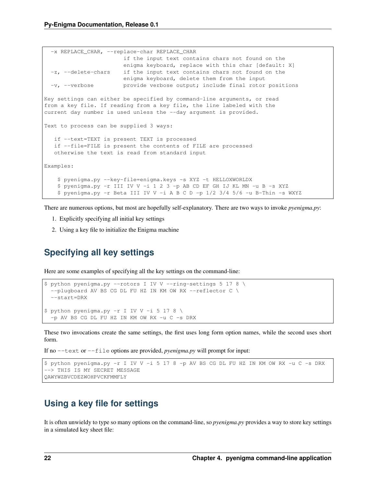```
-x REPLACE_CHAR, --replace-char REPLACE_CHAR
                       if the input text contains chars not found on the
                       enigma keyboard, replace with this char [default: X]
  -z, --delete-chars if the input text contains chars not found on the
                      enigma keyboard, delete them from the input
  -v, --verbose provide verbose output; include final rotor positions
Key settings can either be specified by command-line arguments, or read
from a key file. If reading from a key file, the line labeled with the
current day number is used unless the --day argument is provided.
Text to process can be supplied 3 ways:
   if --text=TEXT is present TEXT is processed
   if --file=FILE is present the contents of FILE are processed
   otherwise the text is read from standard input
Examples:
    $ pyenigma.py --key-file=enigma.keys -s XYZ -t HELLOXWORLDX
    $ pyenigma.py -r III IV V -i 1 2 3 -p AB CD EF GH IJ KL MN -u B -s XYZ
    $ pyenigma.py -r Beta III IV V -i A B C D -p 1/2 3/4 5/6 -u B-Thin -s WXYZ
```
There are numerous options, but most are hopefully self-explanatory. There are two ways to invoke *pyenigma.py*:

- 1. Explicitly specifying all initial key settings
- 2. Using a key file to initialize the Enigma machine

### <span id="page-25-0"></span>**Specifying all key settings**

Here are some examples of specifying all the key settings on the command-line:

```
$ python pyenigma.py --rotors I IV V --ring-settings 5 17 8 \
  --plugboard AV BS CG DL FU HZ IN KM OW RX --reflector C \
  --start=DRX
$ python pyenigma.py -r I IV V -i 5 17 8 \
 -p AV BS CG DL FU HZ IN KM OW RX -u C -s DRX
```
These two invocations create the same settings, the first uses long form option names, while the second uses short form.

If no --text or --file options are provided, *pyenigma.py* will prompt for input:

```
$ python pyenigma.py -r I IV V -i 5 17 8 -p AV BS CG DL FU HZ IN KM OW RX -u C -s DRX
--> THIS IS MY SECRET MESSAGE
QAWYWZBVCDEZWOHPVCKFMMFLY
```
### <span id="page-25-1"></span>**Using a key file for settings**

It is often unwieldy to type so many options on the command-line, so *pyenigma.py* provides a way to store key settings in a simulated key sheet file: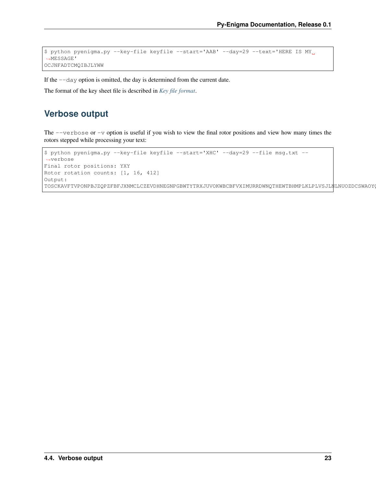```
$ python pyenigma.py --key-file keyfile --start='AAB' --day=29 --text='HERE IS MY
˓→MESSAGE'
OCJNFADTCMQIBJLYWW
```
If the --day option is omitted, the day is determined from the current date.

The format of the key sheet file is described in *[Key file format](#page-28-0)*.

## <span id="page-26-0"></span>**Verbose output**

The  $-\nu$ erbose or  $-\nu$  option is useful if you wish to view the final rotor positions and view how many times the rotors stepped while processing your text:

```
$ python pyenigma.py --key-file keyfile --start='XHC' --day=29 --file msg.txt --
˓→verbose
Final rotor positions: YXY
Rotor rotation counts: [1, 16, 412]
Output:
TOSCKAVFTVPONPBJZQPZFBFJXNMCLCZEVDHNEGNPGBWTYTRXJUVOKWBCBFVXIMURRDWNQTHEWTBHMPLKLPLVSJLNLNUOZDCSWAOY
```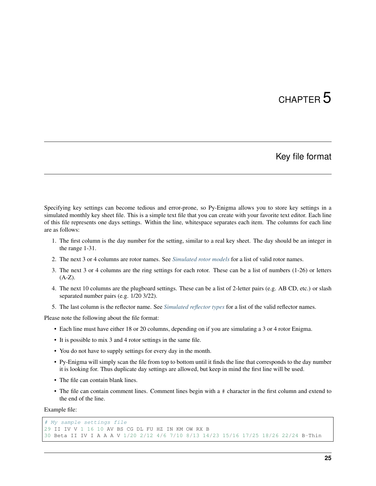## Key file format

<span id="page-28-0"></span>Specifying key settings can become tedious and error-prone, so Py-Enigma allows you to store key settings in a simulated monthly key sheet file. This is a simple text file that you can create with your favorite text editor. Each line of this file represents one days settings. Within the line, whitespace separates each item. The columns for each line are as follows:

- 1. The first column is the day number for the setting, similar to a real key sheet. The day should be an integer in the range 1-31.
- 2. The next 3 or 4 columns are rotor names. See *[Simulated rotor models](#page-20-2)* for a list of valid rotor names.
- 3. The next 3 or 4 columns are the ring settings for each rotor. These can be a list of numbers (1-26) or letters  $(A-Z).$
- 4. The next 10 columns are the plugboard settings. These can be a list of 2-letter pairs (e.g. AB CD, etc.) or slash separated number pairs (e.g. 1/20 3/22).
- 5. The last column is the reflector name. See *[Simulated reflector types](#page-20-3)* for a list of the valid reflector names.

Please note the following about the file format:

- Each line must have either 18 or 20 columns, depending on if you are simulating a 3 or 4 rotor Enigma.
- It is possible to mix 3 and 4 rotor settings in the same file.
- You do not have to supply settings for every day in the month.
- Py-Enigma will simply scan the file from top to bottom until it finds the line that corresponds to the day number it is looking for. Thus duplicate day settings are allowed, but keep in mind the first line will be used.
- The file can contain blank lines.
- The file can contain comment lines. Comment lines begin with a # character in the first column and extend to the end of the line.

Example file:

```
# My sample settings file
29 II IV V 1 16 10 AV BS CG DL FU HZ IN KM OW RX B
30 Beta II IV I A A A V 1/20 2/12 4/6 7/10 8/13 14/23 15/16 17/25 18/26 22/24 B-Thin
```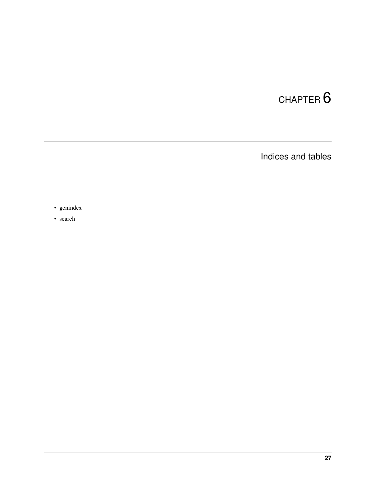Indices and tables

- <span id="page-30-0"></span>• genindex
- search